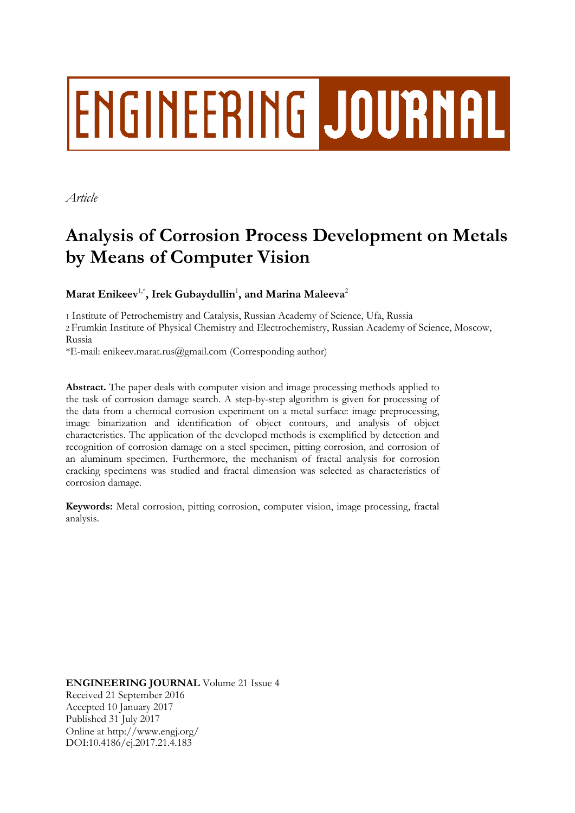# **ENGINEERING JOURNAL**

*Article*

# **Analysis of Corrosion Process Development on Metals by Means of Computer Vision**

 $\mathbf{M}$ arat Enikeev $^{1,*}$ , Irek Gubaydullin $^{1}$ , and Marina Maleeva $^{2}$ 

1 Institute of Petrochemistry and Catalysis, Russian Academy of Science, Ufa, Russia

2 Frumkin Institute of Physical Chemistry and Electrochemistry, Russian Academy of Science, Moscow, Russia

\*E-mail: enikeev.marat.rus@gmail.com (Corresponding author)

**Abstract.** The paper deals with computer vision and image processing methods applied to the task of corrosion damage search. A step-by-step algorithm is given for processing of the data from a chemical corrosion experiment on a metal surface: image preprocessing, image binarization and identification of object contours, and analysis of object characteristics. The application of the developed methods is exemplified by detection and recognition of corrosion damage on a steel specimen, pitting corrosion, and corrosion of an aluminum specimen. Furthermore, the mechanism of fractal analysis for corrosion cracking specimens was studied and fractal dimension was selected as characteristics of corrosion damage.

**Keywords:** Metal corrosion, pitting corrosion, computer vision, image processing, fractal analysis.

**ENGINEERING JOURNAL** Volume 21 Issue 4 Received 21 September 2016 Accepted 10 January 2017 Published 31 July 2017 Online at http://www.engj.org/ DOI:10.4186/ej.2017.21.4.183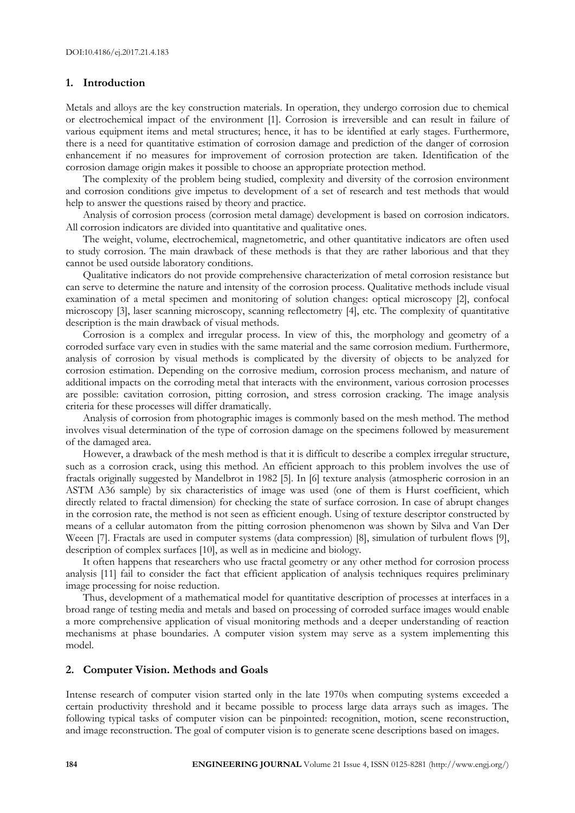### **1. Introduction**

Metals and alloys are the key construction materials. In operation, they undergo corrosion due to chemical or electrochemical impact of the environment [1]. Corrosion is irreversible and can result in failure of various equipment items and metal structures; hence, it has to be identified at early stages. Furthermore, there is a need for quantitative estimation of corrosion damage and prediction of the danger of corrosion enhancement if no measures for improvement of corrosion protection are taken. Identification of the corrosion damage origin makes it possible to choose an appropriate protection method.

The complexity of the problem being studied, complexity and diversity of the corrosion environment and corrosion conditions give impetus to development of a set of research and test methods that would help to answer the questions raised by theory and practice.

Analysis of corrosion process (corrosion metal damage) development is based on corrosion indicators. All corrosion indicators are divided into quantitative and qualitative ones.

The weight, volume, electrochemical, magnetometric, and other quantitative indicators are often used to study corrosion. The main drawback of these methods is that they are rather laborious and that they cannot be used outside laboratory conditions.

Qualitative indicators do not provide comprehensive characterization of metal corrosion resistance but can serve to determine the nature and intensity of the corrosion process. Qualitative methods include visual examination of a metal specimen and monitoring of solution changes: optical microscopy [2], confocal microscopy [3], laser scanning microscopy, scanning reflectometry [4], etc. The complexity of quantitative description is the main drawback of visual methods.

Corrosion is a complex and irregular process. In view of this, the morphology and geometry of a corroded surface vary even in studies with the same material and the same corrosion medium. Furthermore, analysis of corrosion by visual methods is complicated by the diversity of objects to be analyzed for corrosion estimation. Depending on the corrosive medium, corrosion process mechanism, and nature of additional impacts on the corroding metal that interacts with the environment, various corrosion processes are possible: cavitation corrosion, pitting corrosion, and stress corrosion cracking. The image analysis criteria for these processes will differ dramatically.

Analysis of corrosion from photographic images is commonly based on the mesh method. The method involves visual determination of the type of corrosion damage on the specimens followed by measurement of the damaged area.

However, a drawback of the mesh method is that it is difficult to describe a complex irregular structure, such as a corrosion crack, using this method. An efficient approach to this problem involves the use of fractals originally suggested by Mandelbrot in 1982 [5]. In [6] texture analysis (atmospheric corrosion in an ASTM A36 sample) by six characteristics of image was used (one of them is Hurst coefficient, which directly related to fractal dimension) for checking the state of surface corrosion. In case of abrupt changes in the corrosion rate, the method is not seen as efficient enough. Using of texture descriptor constructed by means of a cellular automaton from the pitting corrosion phenomenon was shown by Silva and Van Der Weeen [7]. Fractals are used in computer systems (data compression) [8], simulation of turbulent flows [9], description of complex surfaces [10], as well as in medicine and biology.

It often happens that researchers who use fractal geometry or any other method for corrosion process analysis [11] fail to consider the fact that efficient application of analysis techniques requires preliminary image processing for noise reduction.

Thus, development of a mathematical model for quantitative description of processes at interfaces in a broad range of testing media and metals and based on processing of corroded surface images would enable a more comprehensive application of visual monitoring methods and a deeper understanding of reaction mechanisms at phase boundaries. A computer vision system may serve as a system implementing this model.

## **2. Computer Vision. Methods and Goals**

Intense research of computer vision started only in the late 1970s when computing systems exceeded a certain productivity threshold and it became possible to process large data arrays such as images. The following typical tasks of computer vision can be pinpointed: recognition, motion, scene reconstruction, and image reconstruction. The goal of computer vision is to generate scene descriptions based on images.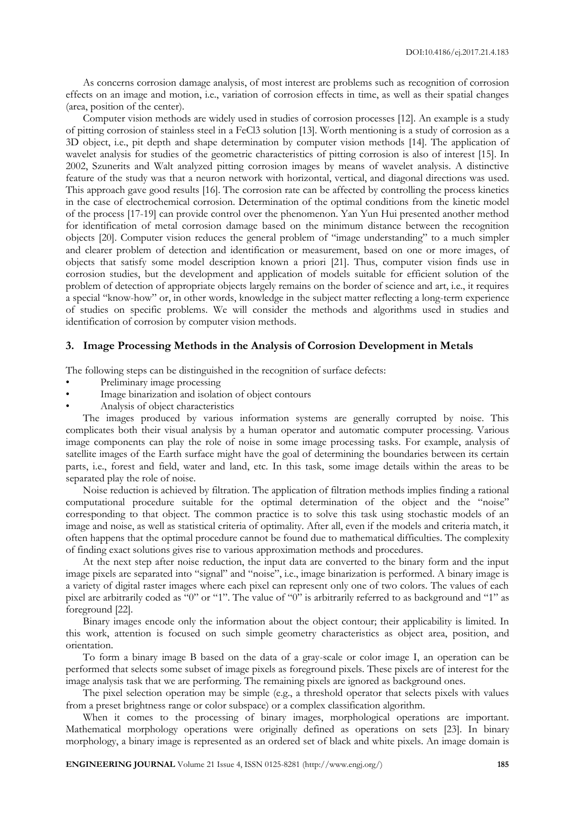As concerns corrosion damage analysis, of most interest are problems such as recognition of corrosion effects on an image and motion, i.e., variation of corrosion effects in time, as well as their spatial changes (area, position of the center).

Computer vision methods are widely used in studies of corrosion processes [12]. An example is a study of pitting corrosion of stainless steel in a FeCl3 solution [13]. Worth mentioning is a study of corrosion as a 3D object, i.e., pit depth and shape determination by computer vision methods [14]. The application of wavelet analysis for studies of the geometric characteristics of pitting corrosion is also of interest [15]. In 2002, Szunerits and Walt analyzed pitting corrosion images by means of wavelet analysis. A distinctive feature of the study was that a neuron network with horizontal, vertical, and diagonal directions was used. This approach gave good results [16]. The corrosion rate can be affected by controlling the process kinetics in the case of electrochemical corrosion. Determination of the optimal conditions from the kinetic model of the process [17-19] can provide control over the phenomenon. Yan Yun Hui presented another method for identification of metal corrosion damage based on the minimum distance between the recognition objects [20]. Computer vision reduces the general problem of "image understanding" to a much simpler and clearer problem of detection and identification or measurement, based on one or more images, of objects that satisfy some model description known a priori [21]. Thus, computer vision finds use in corrosion studies, but the development and application of models suitable for efficient solution of the problem of detection of appropriate objects largely remains on the border of science and art, i.e., it requires a special "know-how" or, in other words, knowledge in the subject matter reflecting a long-term experience of studies on specific problems. We will consider the methods and algorithms used in studies and identification of corrosion by computer vision methods.

### **3. Image Processing Methods in the Analysis of Corrosion Development in Metals**

The following steps can be distinguished in the recognition of surface defects:

- Preliminary image processing
- Image binarization and isolation of object contours
- Analysis of object characteristics

The images produced by various information systems are generally corrupted by noise. This complicates both their visual analysis by a human operator and automatic computer processing. Various image components can play the role of noise in some image processing tasks. For example, analysis of satellite images of the Earth surface might have the goal of determining the boundaries between its certain parts, i.e., forest and field, water and land, etc. In this task, some image details within the areas to be separated play the role of noise.

Noise reduction is achieved by filtration. The application of filtration methods implies finding a rational computational procedure suitable for the optimal determination of the object and the "noise" corresponding to that object. The common practice is to solve this task using stochastic models of an image and noise, as well as statistical criteria of optimality. After all, even if the models and criteria match, it often happens that the optimal procedure cannot be found due to mathematical difficulties. The complexity of finding exact solutions gives rise to various approximation methods and procedures.

At the next step after noise reduction, the input data are converted to the binary form and the input image pixels are separated into "signal" and "noise", i.e., image binarization is performed. A binary image is a variety of digital raster images where each pixel can represent only one of two colors. The values of each pixel are arbitrarily coded as "0" or "1". The value of "0" is arbitrarily referred to as background and "1" as foreground [22].

Binary images encode only the information about the object contour; their applicability is limited. In this work, attention is focused on such simple geometry characteristics as object area, position, and orientation.

To form a binary image B based on the data of a gray-scale or color image I, an operation can be performed that selects some subset of image pixels as foreground pixels. These pixels are of interest for the image analysis task that we are performing. The remaining pixels are ignored as background ones.

The pixel selection operation may be simple (e.g., a threshold operator that selects pixels with values from a preset brightness range or color subspace) or a complex classification algorithm.

When it comes to the processing of binary images, morphological operations are important. Mathematical morphology operations were originally defined as operations on sets [23]. In binary morphology, a binary image is represented as an ordered set of black and white pixels. An image domain is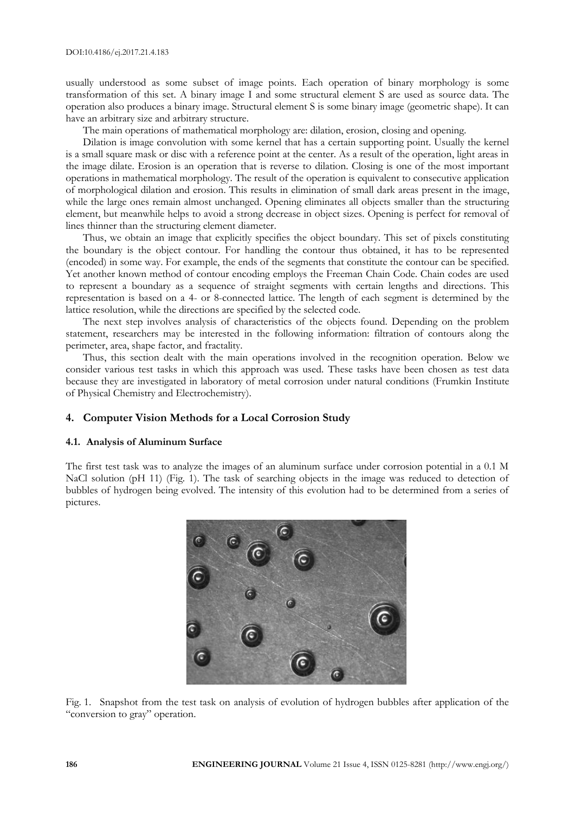usually understood as some subset of image points. Each operation of binary morphology is some transformation of this set. A binary image I and some structural element S are used as source data. The operation also produces a binary image. Structural element S is some binary image (geometric shape). It can have an arbitrary size and arbitrary structure.

The main operations of mathematical morphology are: dilation, erosion, closing and opening.

Dilation is image convolution with some kernel that has a certain supporting point. Usually the kernel is a small square mask or disc with a reference point at the center. As a result of the operation, light areas in the image dilate. Erosion is an operation that is reverse to dilation. Closing is one of the most important operations in mathematical morphology. The result of the operation is equivalent to consecutive application of morphological dilation and erosion. This results in elimination of small dark areas present in the image, while the large ones remain almost unchanged. Opening eliminates all objects smaller than the structuring element, but meanwhile helps to avoid a strong decrease in object sizes. Opening is perfect for removal of lines thinner than the structuring element diameter.

Thus, we obtain an image that explicitly specifies the object boundary. This set of pixels constituting the boundary is the object contour. For handling the contour thus obtained, it has to be represented (encoded) in some way. For example, the ends of the segments that constitute the contour can be specified. Yet another known method of contour encoding employs the Freeman Chain Code. Chain codes are used to represent a boundary as a sequence of straight segments with certain lengths and directions. This representation is based on a 4- or 8-connected lattice. The length of each segment is determined by the lattice resolution, while the directions are specified by the selected code.

The next step involves analysis of characteristics of the objects found. Depending on the problem statement, researchers may be interested in the following information: filtration of contours along the perimeter, area, shape factor, and fractality.

Thus, this section dealt with the main operations involved in the recognition operation. Below we consider various test tasks in which this approach was used. These tasks have been chosen as test data because they are investigated in laboratory of metal corrosion under natural conditions (Frumkin Institute of Physical Chemistry and Electrochemistry).

# **4. Computer Vision Methods for a Local Corrosion Study**

### **4.1. Analysis of Aluminum Surface**

The first test task was to analyze the images of an aluminum surface under corrosion potential in a 0.1 M NaCl solution (pH 11) (Fig. 1). The task of searching objects in the image was reduced to detection of bubbles of hydrogen being evolved. The intensity of this evolution had to be determined from a series of pictures.



Fig. 1. Snapshot from the test task on analysis of evolution of hydrogen bubbles after application of the "conversion to gray" operation.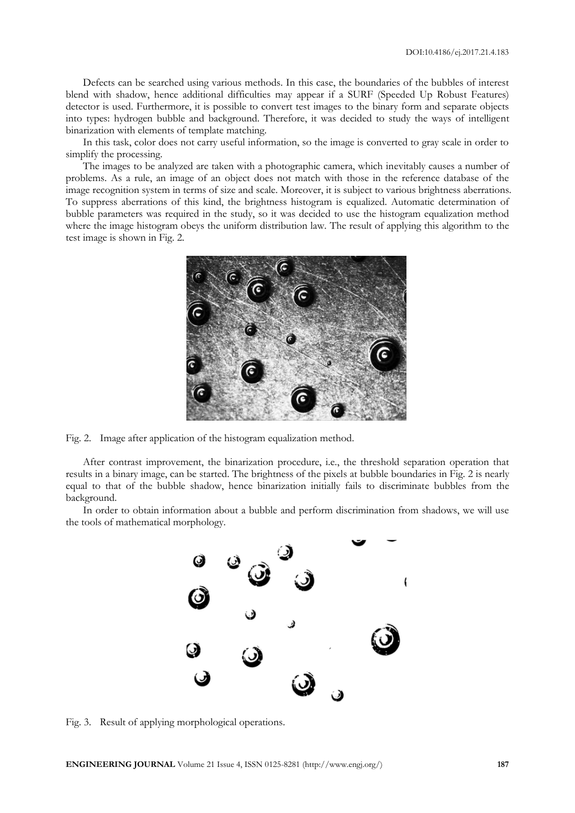Defects can be searched using various methods. In this case, the boundaries of the bubbles of interest blend with shadow, hence additional difficulties may appear if a SURF (Speeded Up Robust Features) detector is used. Furthermore, it is possible to convert test images to the binary form and separate objects into types: hydrogen bubble and background. Therefore, it was decided to study the ways of intelligent binarization with elements of template matching.

In this task, color does not carry useful information, so the image is converted to gray scale in order to simplify the processing.

The images to be analyzed are taken with a photographic camera, which inevitably causes a number of problems. As a rule, an image of an object does not match with those in the reference database of the image recognition system in terms of size and scale. Moreover, it is subject to various brightness aberrations. To suppress aberrations of this kind, the brightness histogram is equalized. Automatic determination of bubble parameters was required in the study, so it was decided to use the histogram equalization method where the image histogram obeys the uniform distribution law. The result of applying this algorithm to the test image is shown in Fig. 2.



Fig. 2. Image after application of the histogram equalization method.

After contrast improvement, the binarization procedure, i.e., the threshold separation operation that results in a binary image, can be started. The brightness of the pixels at bubble boundaries in Fig. 2 is nearly equal to that of the bubble shadow, hence binarization initially fails to discriminate bubbles from the background.

In order to obtain information about a bubble and perform discrimination from shadows, we will use the tools of mathematical morphology.



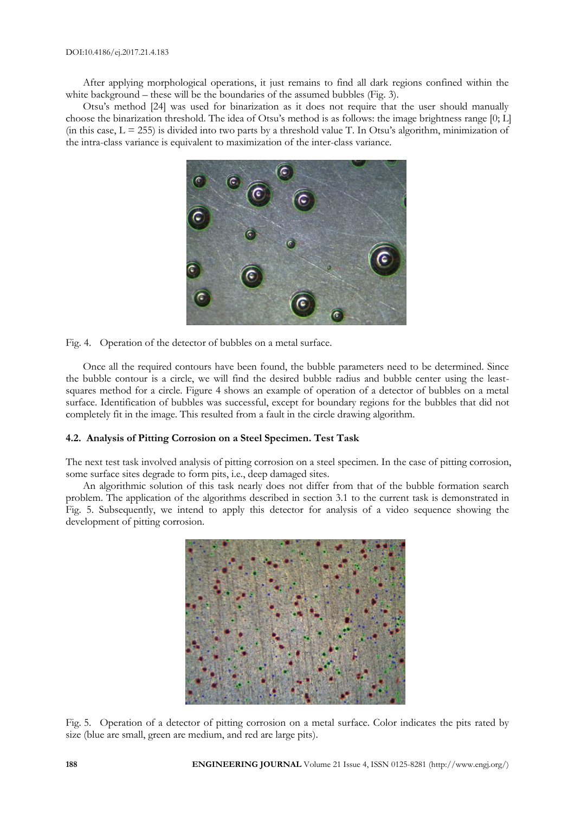After applying morphological operations, it just remains to find all dark regions confined within the white background – these will be the boundaries of the assumed bubbles (Fig. 3).

Otsu's method [24] was used for binarization as it does not require that the user should manually choose the binarization threshold. The idea of Otsu's method is as follows: the image brightness range [0; L] (in this case,  $L = 255$ ) is divided into two parts by a threshold value T. In Otsu's algorithm, minimization of the intra-class variance is equivalent to maximization of the inter-class variance.



Fig. 4. Operation of the detector of bubbles on a metal surface.

Once all the required contours have been found, the bubble parameters need to be determined. Since the bubble contour is a circle, we will find the desired bubble radius and bubble center using the leastsquares method for a circle. Figure 4 shows an example of operation of a detector of bubbles on a metal surface. Identification of bubbles was successful, except for boundary regions for the bubbles that did not completely fit in the image. This resulted from a fault in the circle drawing algorithm.

### **4.2. Analysis of Pitting Corrosion on a Steel Specimen. Test Task**

The next test task involved analysis of pitting corrosion on a steel specimen. In the case of pitting corrosion, some surface sites degrade to form pits, i.e., deep damaged sites.

An algorithmic solution of this task nearly does not differ from that of the bubble formation search problem. The application of the algorithms described in section 3.1 to the current task is demonstrated in Fig. 5. Subsequently, we intend to apply this detector for analysis of a video sequence showing the development of pitting corrosion.



Fig. 5. Operation of a detector of pitting corrosion on a metal surface. Color indicates the pits rated by size (blue are small, green are medium, and red are large pits).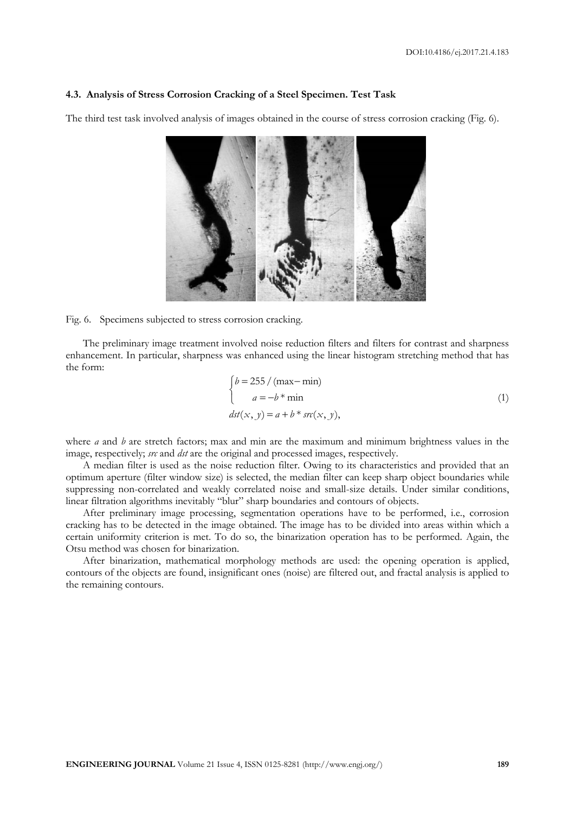### **4.3. Analysis of Stress Corrosion Cracking of a Steel Specimen. Test Task**

The third test task involved analysis of images obtained in the course of stress corrosion cracking (Fig. 6).



### Fig. 6. Specimens subjected to stress corrosion cracking.

The preliminary image treatment involved noise reduction filters and filters for contrast and sharpness enhancement. In particular, sharpness was enhanced using the linear histogram stretching method that has the form:

$$
\begin{cases}\nb = 255 / (\max - \min) \\
a = -b * \min \\
\frac{dst(x, y) = a + b * sr(x, y)}{1}\n\end{cases}
$$
\n(1)

where *a* and *b* are stretch factors; max and min are the maximum and minimum brightness values in the image, respectively; *src* and *dst* are the original and processed images, respectively.

A median filter is used as the noise reduction filter. Owing to its characteristics and provided that an optimum aperture (filter window size) is selected, the median filter can keep sharp object boundaries while suppressing non-correlated and weakly correlated noise and small-size details. Under similar conditions, linear filtration algorithms inevitably "blur" sharp boundaries and contours of objects.

After preliminary image processing, segmentation operations have to be performed, i.e., corrosion cracking has to be detected in the image obtained. The image has to be divided into areas within which a certain uniformity criterion is met. To do so, the binarization operation has to be performed. Again, the Otsu method was chosen for binarization.

After binarization, mathematical morphology methods are used: the opening operation is applied, contours of the objects are found, insignificant ones (noise) are filtered out, and fractal analysis is applied to the remaining contours.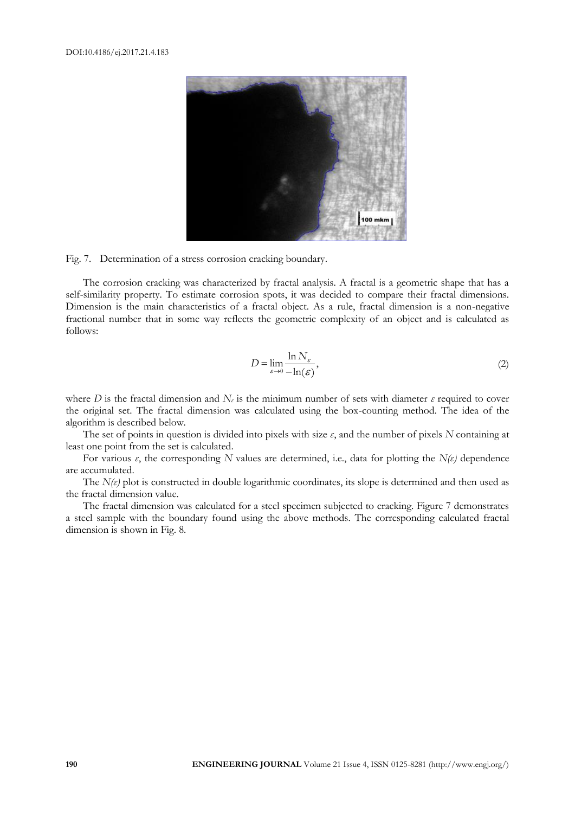

Fig. 7. Determination of a stress corrosion cracking boundary.

The corrosion cracking was characterized by fractal analysis. A fractal is a geometriс shape that has a self-similarity property. To estimate corrosion spots, it was decided to compare their fractal dimensions. Dimension is the main characteristics of a fractal object. As a rule, fractal dimension is a non-negative fractional number that in some way reflects the geometric complexity of an object and is calculated as follows:

$$
D = \lim_{\varepsilon \to 0} \frac{\ln N_{\varepsilon}}{-\ln(\varepsilon)},
$$
\n(2)

where *D* is the fractal dimension and  $N_{\varepsilon}$  is the minimum number of sets with diameter  $\varepsilon$  required to cover the original set. The fractal dimension was calculated using the box-counting method. The idea of the algorithm is described below.

The set of points in question is divided into pixels with size *ε*, and the number of pixels *N* containing at least one point from the set is calculated.

For various *ε*, the corresponding *N* values are determined, i.e., data for plotting the *N(ε)* dependence are accumulated.

The *N(ε)* plot is constructed in double logarithmic coordinates, its slope is determined and then used as the fractal dimension value.

The fractal dimension was calculated for a steel specimen subjected to cracking. Figure 7 demonstrates a steel sample with the boundary found using the above methods. The corresponding calculated fractal dimension is shown in Fig. 8.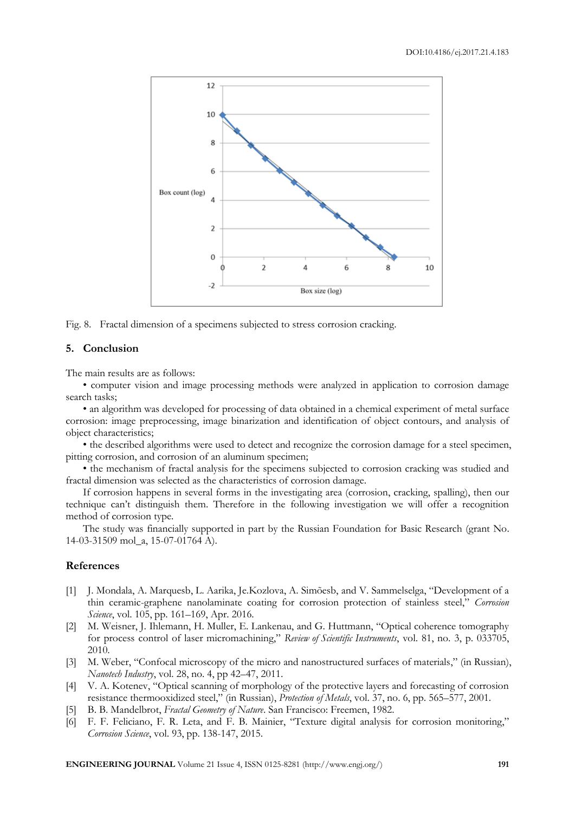

Fig. 8. Fractal dimension of a specimens subjected to stress corrosion cracking.

### **5. Conclusion**

The main results are as follows:

• computer vision and image processing methods were analyzed in application to corrosion damage search tasks;

• an algorithm was developed for processing of data obtained in a chemical experiment of metal surface corrosion: image preprocessing, image binarization and identification of object contours, and analysis of object characteristics;

• the described algorithms were used to detect and recognize the corrosion damage for a steel specimen, pitting corrosion, and corrosion of an aluminum specimen;

• the mechanism of fractal analysis for the specimens subjected to corrosion cracking was studied and fractal dimension was selected as the characteristics of corrosion damage.

If corrosion happens in several forms in the investigating area (corrosion, cracking, spalling), then our technique can't distinguish them. Therefore in the following investigation we will offer a recognition method of corrosion type.

The study was financially supported in part by the Russian Foundation for Basic Research (grant No. 14-03-31509 mol\_a, 15-07-01764 А).

### **References**

- [1] J. Mondala, A. Marquesb, L. Aarika, Je.Kozlova, A. Simõesb, and V. Sammelselga, "Development of a thin ceramic-graphene nanolaminate coating for corrosion protection of stainless steel," *Corrosion Science*, vol. 105, pp. 161–169, Apr. 2016.
- [2] M. Weisner, J. Ihlemann, H. Muller, E. Lankenau, and G. Huttmann, "Optical coherence tomography for process control of laser micromachining," *Review of Scientific Instruments*, vol. 81, no. 3, p. 033705, 2010.
- [3] M. Weber, "Confocal microscopy of the micro and nanostructured surfaces of materials," (in Russian), *Nanotech Industry*, vol. 28, no. 4, pp 42–47, 2011.
- [4] V. A. Kotenev, "Optical scanning of morphology of the protective layers and forecasting of corrosion resistance thermooxidized steel," (in Russian), *Protection of Metals*, vol. 37, no. 6, pp. 565–577, 2001.
- [5] B. B. Mandelbrot, *Fractal Geometry of Nature*. San Francisco: Freemen, 1982.
- [6] F. F. Feliciano, F. R. Leta, and F. B. Mainier, "Texture digital analysis for corrosion monitoring," *Corrosion Science*, vol. 93, pp. 138-147, 2015.